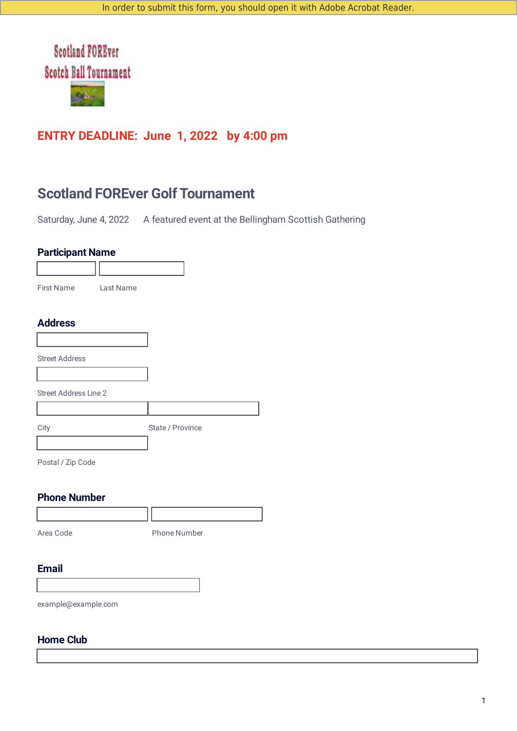

## **ENTRY DEADLINE: June 1, 2022 by 4:00 pm**

# **Scotland FOREver Golf Tournament**

Saturday, June 4, 2022 A featured event at the Bellingham Scottish Gathering

## **Participant Name**

| <b>Lardopant Ranno</b>       |           |                  |  |
|------------------------------|-----------|------------------|--|
|                              |           |                  |  |
| First Name                   | Last Name |                  |  |
|                              |           |                  |  |
| <b>Address</b>               |           |                  |  |
|                              |           |                  |  |
| <b>Street Address</b>        |           |                  |  |
|                              |           |                  |  |
| <b>Street Address Line 2</b> |           |                  |  |
|                              |           |                  |  |
| City                         |           | State / Province |  |
|                              |           |                  |  |

Postal / Zip Code

## **Phone Number**

| Area Code | <b>Phone Number</b> |  |
|-----------|---------------------|--|

#### **Email**

example@example.com

## **Home Club**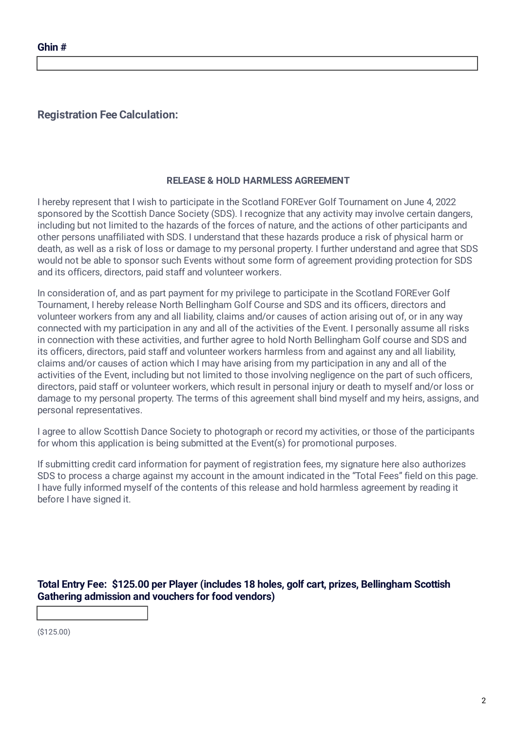## **Registration Fee Calculation:**

#### **RELEASE & HOLD HARMLESS AGREEMENT**

I hereby represent that I wish to participate in the Scotland FOREver Golf Tournament on June 4, 2022 sponsored by the Scottish Dance Society (SDS). I recognize that any activity may involve certain dangers, including but not limited to the hazards of the forces of nature, and the actions of other participants and other persons unaffiliated with SDS. I understand that these hazards produce a risk of physical harm or death, as well as a risk of loss or damage to my personal property. I further understand and agree that SDS would not be able to sponsor such Events without some form of agreement providing protection for SDS and its officers, directors, paid staff and volunteer workers.

In consideration of, and as part payment for my privilege to participate in the Scotland FOREver Golf Tournament, I hereby release North Bellingham Golf Course and SDS and its officers, directors and volunteer workers from any and all liability, claims and/or causes of action arising out of, or in any way connected with my participation in any and all of the activities of the Event. I personally assume all risks in connection with these activities, and further agree to hold North Bellingham Golf course and SDS and its officers, directors, paid staff and volunteer workers harmless from and against any and all liability, claims and/or causes of action which I may have arising from my participation in any and all of the activities of the Event, including but not limited to those involving negligence on the part of such officers, directors, paid staff or volunteer workers, which result in personal injury or death to myself and/or loss or damage to my personal property. The terms of this agreement shall bind myself and my heirs, assigns, and personal representatives.

I agree to allow Scottish Dance Society to photograph or record my activities, or those of the participants for whom this application is being submitted at the Event(s) for promotional purposes.

If submitting credit card information for payment of registration fees, my signature here also authorizes SDS to process a charge against my account in the amount indicated in the "Total Fees" field on this page. I have fully informed myself of the contents of this release and hold harmless agreement by reading it before I have signed it.

**Total Entry Fee: \$125.00 per Player (includes 18 holes, golf cart, prizes, Bellingham Scottish Gathering admission and vouchers for food vendors)**

(\$125.00)